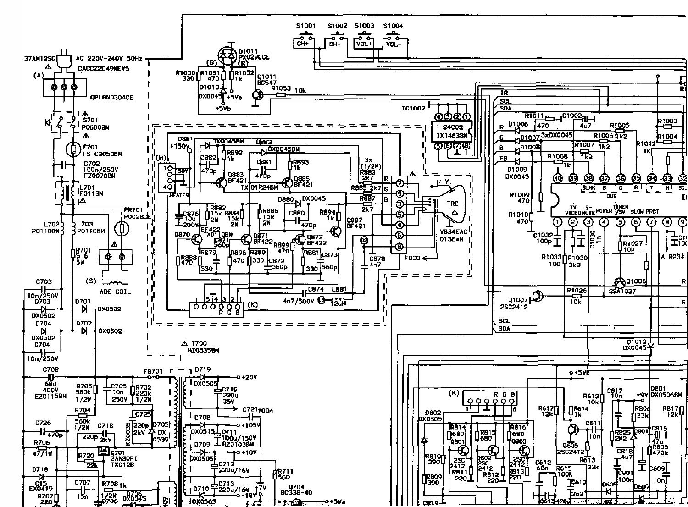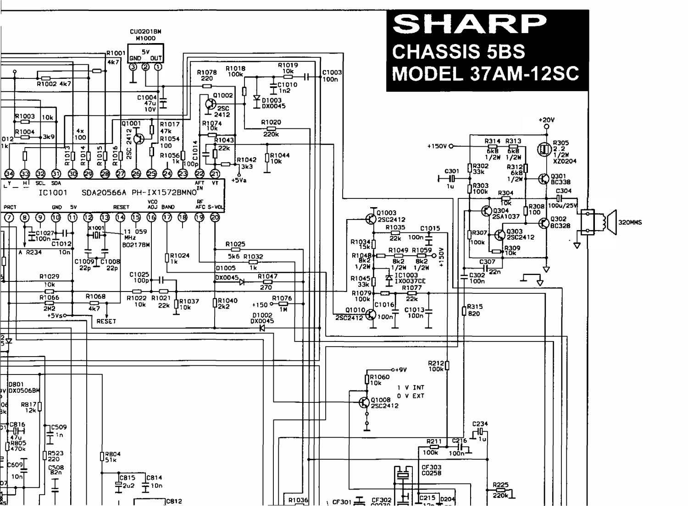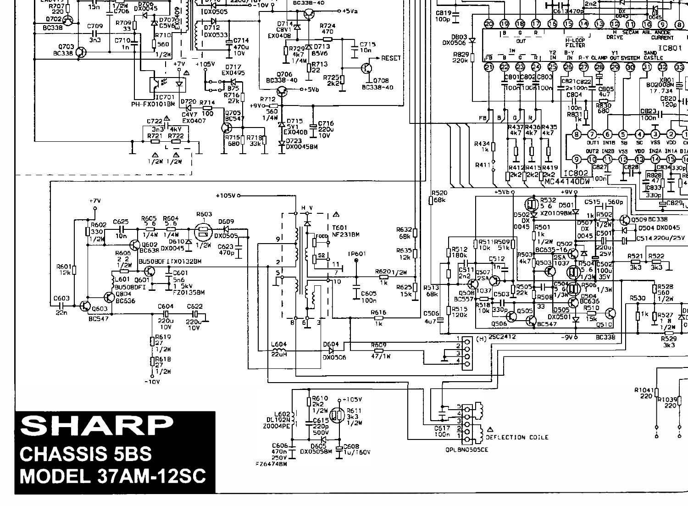